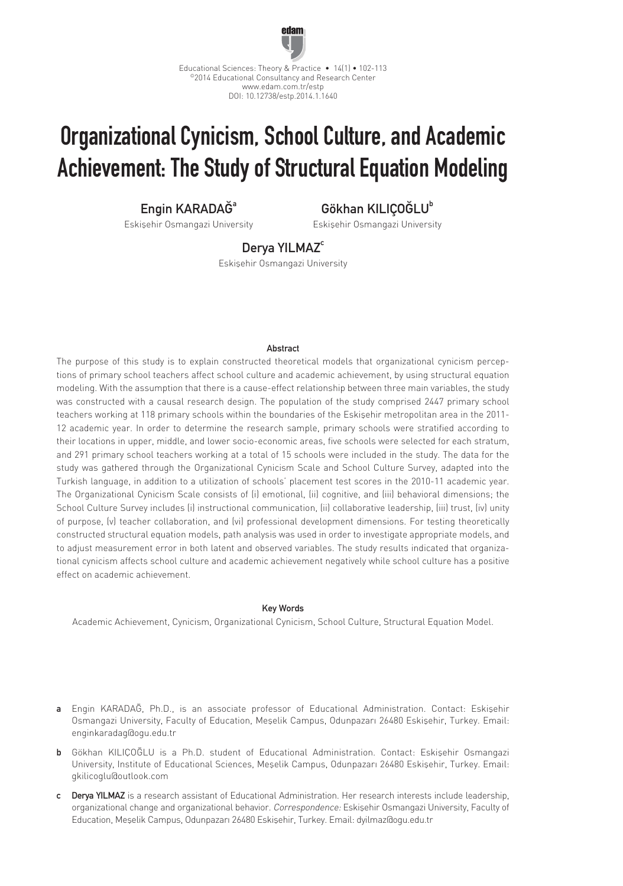

# Organizational Cynicism, School Culture, and Academic Achievement: The Study of Structural Equation Modeling

Engin KARADAĞ<sup>a</sup>

Eskişehir Osmangazi University

Gökhan KILICOĞLU<sup>b</sup>

Eskişehir Osmangazi University

Derva YILMAZ<sup>c</sup>

Eskişehir Osmangazi University

## Abstract

The purpose of this study is to explain constructed theoretical models that organizational cynicism perceptions of primary school teachers affect school culture and academic achievement, by using structural equation modeling. With the assumption that there is a cause-effect relationship between three main variables, the study was constructed with a causal research design. The population of the study comprised 2447 primary school teachers working at 118 primary schools within the boundaries of the Eskişehir metropolitan area in the 2011- 12 academic year. In order to determine the research sample, primary schools were stratified according to their locations in upper, middle, and lower socio-economic areas, five schools were selected for each stratum, and 291 primary school teachers working at a total of 15 schools were included in the study. The data for the study was gathered through the Organizational Cynicism Scale and School Culture Survey, adapted into the Turkish language, in addition to a utilization of schools' placement test scores in the 2010-11 academic year. The Organizational Cynicism Scale consists of (i) emotional, (ii) cognitive, and (iii) behavioral dimensions; the School Culture Survey includes (i) instructional communication, (ii) collaborative leadership, (iii) trust, (iv) unity of purpose, (v) teacher collaboration, and (vi) professional development dimensions. For testing theoretically constructed structural equation models, path analysis was used in order to investigate appropriate models, and to adjust measurement error in both latent and observed variables. The study results indicated that organizational cynicism affects school culture and academic achievement negatively while school culture has a positive effect on academic achievement.

### Key Words

Academic Achievement, Cynicism, Organizational Cynicism, School Culture, Structural Equation Model.

- a Engin KARADAĞ, Ph.D., is an associate professor of Educational Administration. Contact: Eskişehir Osmangazi University, Faculty of Education, Meşelik Campus, Odunpazarı 26480 Eskişehir, Turkey. Email: enginkaradag@ogu.edu.tr
- b Gökhan KILIÇOĞLU is a Ph.D. student of Educational Administration. Contact: Eskişehir Osmangazi University, Institute of Educational Sciences, Meşelik Campus, Odunpazarı 26480 Eskişehir, Turkey. Email: gkilicoglu@outlook.com
- c Derya YILMAZ is a research assistant of Educational Administration. Her research interests include leadership, organizational change and organizational behavior. Correspondence: Eskişehir Osmangazi University, Faculty of Education, Meşelik Campus, Odunpazarı 26480 Eskişehir, Turkey. Email: dyilmaz@ogu.edu.tr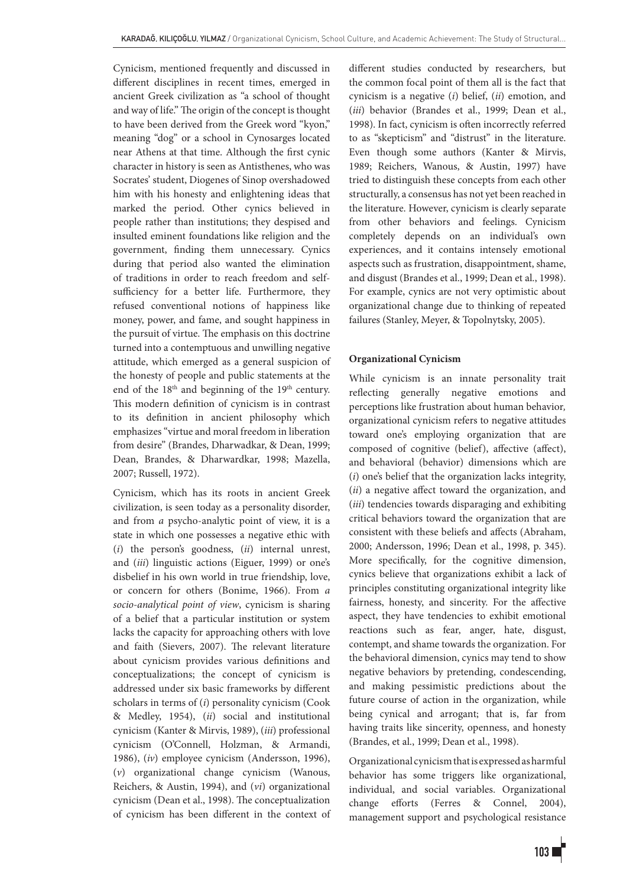Cynicism, mentioned frequently and discussed in different disciplines in recent times, emerged in ancient Greek civilization as "a school of thought and way of life." The origin of the concept is thought to have been derived from the Greek word "kyon," meaning "dog" or a school in Cynosarges located near Athens at that time. Although the first cynic character in history is seen as Antisthenes, who was Socrates' student, Diogenes of Sinop overshadowed him with his honesty and enlightening ideas that marked the period. Other cynics believed in people rather than institutions; they despised and insulted eminent foundations like religion and the government, finding them unnecessary. Cynics during that period also wanted the elimination of traditions in order to reach freedom and selfsufficiency for a better life. Furthermore, they refused conventional notions of happiness like money, power, and fame, and sought happiness in the pursuit of virtue. The emphasis on this doctrine turned into a contemptuous and unwilling negative attitude, which emerged as a general suspicion of the honesty of people and public statements at the end of the 18<sup>th</sup> and beginning of the 19<sup>th</sup> century. This modern definition of cynicism is in contrast to its definition in ancient philosophy which emphasizes "virtue and moral freedom in liberation from desire" (Brandes, Dharwadkar, & Dean, 1999; Dean, Brandes, & Dharwardkar, 1998; Mazella, 2007; Russell, 1972).

Cynicism, which has its roots in ancient Greek civilization, is seen today as a personality disorder, and from *a* psycho-analytic point of view, it is a state in which one possesses a negative ethic with (*i*) the person's goodness, (*ii*) internal unrest, and (*iii*) linguistic actions (Eiguer, 1999) or one's disbelief in his own world in true friendship, love, or concern for others (Bonime, 1966). From *a socio-analytical point of view*, cynicism is sharing of a belief that a particular institution or system lacks the capacity for approaching others with love and faith (Sievers, 2007). The relevant literature about cynicism provides various definitions and conceptualizations; the concept of cynicism is addressed under six basic frameworks by different scholars in terms of (*i*) personality cynicism (Cook & Medley, 1954), (*ii*) social and institutional cynicism (Kanter & Mirvis, 1989), (*iii*) professional cynicism (O'Connell, Holzman, & Armandi, 1986), (*iv*) employee cynicism (Andersson, 1996), (*v*) organizational change cynicism (Wanous, Reichers, & Austin, 1994), and (*vi*) organizational cynicism (Dean et al., 1998). The conceptualization of cynicism has been different in the context of different studies conducted by researchers, but the common focal point of them all is the fact that cynicism is a negative (*i*) belief, (*ii*) emotion, and (*iii*) behavior (Brandes et al., 1999; Dean et al., 1998). In fact, cynicism is often incorrectly referred to as "skepticism" and "distrust" in the literature. Even though some authors (Kanter & Mirvis, 1989; Reichers, Wanous, & Austin, 1997) have tried to distinguish these concepts from each other structurally, a consensus has not yet been reached in the literature. However, cynicism is clearly separate from other behaviors and feelings. Cynicism completely depends on an individual's own experiences, and it contains intensely emotional aspects such as frustration, disappointment, shame, and disgust (Brandes et al., 1999; Dean et al., 1998). For example, cynics are not very optimistic about organizational change due to thinking of repeated failures (Stanley, Meyer, & Topolnytsky, 2005).

# **Organizational Cynicism**

While cynicism is an innate personality trait reflecting generally negative emotions and perceptions like frustration about human behavior*,*  organizational cynicism refers to negative attitudes toward one's employing organization that are composed of cognitive (belief), affective (affect), and behavioral (behavior) dimensions which are (*i*) one's belief that the organization lacks integrity, (*ii*) a negative affect toward the organization, and (*iii*) tendencies towards disparaging and exhibiting critical behaviors toward the organization that are consistent with these beliefs and affects (Abraham, 2000; Andersson, 1996; Dean et al., 1998, p. 345). More specifically, for the cognitive dimension, cynics believe that organizations exhibit a lack of principles constituting organizational integrity like fairness, honesty, and sincerity. For the affective aspect, they have tendencies to exhibit emotional reactions such as fear, anger, hate, disgust, contempt, and shame towards the organization. For the behavioral dimension, cynics may tend to show negative behaviors by pretending, condescending, and making pessimistic predictions about the future course of action in the organization, while being cynical and arrogant; that is, far from having traits like sincerity, openness, and honesty (Brandes, et al., 1999; Dean et al., 1998).

Organizational cynicism that is expressed as harmful behavior has some triggers like organizational, individual, and social variables. Organizational change efforts (Ferres & Connel, 2004), management support and psychological resistance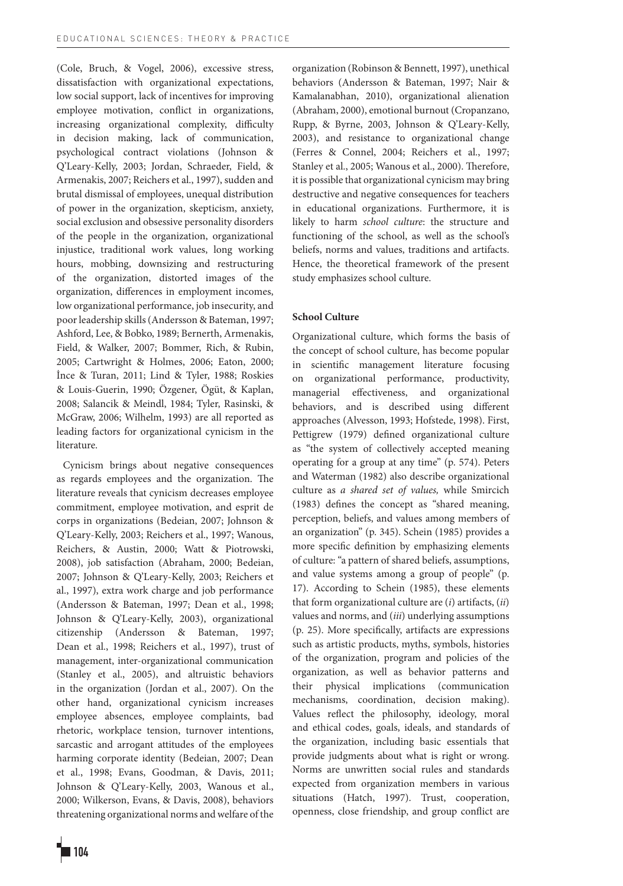(Cole, Bruch, & Vogel, 2006), excessive stress, dissatisfaction with organizational expectations, low social support, lack of incentives for improving employee motivation, conflict in organizations, increasing organizational complexity, difficulty in decision making, lack of communication, psychological contract violations (Johnson & Q'Leary-Kelly, 2003; Jordan, Schraeder, Field, & Armenakis, 2007; Reichers et al., 1997), sudden and brutal dismissal of employees, unequal distribution of power in the organization, skepticism, anxiety, social exclusion and obsessive personality disorders of the people in the organization, organizational injustice, traditional work values, long working hours, mobbing, downsizing and restructuring of the organization, distorted images of the organization, differences in employment incomes, low organizational performance, job insecurity, and poor leadership skills (Andersson & Bateman, 1997; Ashford, Lee, & Bobko, 1989; Bernerth, Armenakis, Field, & Walker, 2007; Bommer, Rich, & Rubin, 2005; Cartwright & Holmes, 2006; Eaton, 2000; İnce & Turan, 2011; Lind & Tyler, 1988; Roskies & Louis-Guerin, 1990; Özgener, Ögüt, & Kaplan, 2008; Salancik & Meindl, 1984; Tyler, Rasinski, & McGraw, 2006; Wilhelm, 1993) are all reported as leading factors for organizational cynicism in the literature.

 Cynicism brings about negative consequences as regards employees and the organization. The literature reveals that cynicism decreases employee commitment, employee motivation, and esprit de corps in organizations (Bedeian, 2007; Johnson & Q'Leary-Kelly, 2003; Reichers et al., 1997; Wanous, Reichers, & Austin, 2000; Watt & Piotrowski, 2008), job satisfaction (Abraham, 2000; Bedeian, 2007; Johnson & Q'Leary-Kelly, 2003; Reichers et al., 1997), extra work charge and job performance (Andersson & Bateman, 1997; Dean et al., 1998; Johnson & Q'Leary-Kelly, 2003), organizational citizenship (Andersson & Bateman, 1997; Dean et al., 1998; Reichers et al., 1997), trust of management, inter-organizational communication (Stanley et al., 2005), and altruistic behaviors in the organization (Jordan et al., 2007). On the other hand, organizational cynicism increases employee absences, employee complaints, bad rhetoric, workplace tension, turnover intentions, sarcastic and arrogant attitudes of the employees harming corporate identity (Bedeian, 2007; Dean et al., 1998; Evans, Goodman, & Davis, 2011; Johnson & Q'Leary-Kelly, 2003, Wanous et al., 2000; Wilkerson, Evans, & Davis, 2008), behaviors threatening organizational norms and welfare of the organization (Robinson & Bennett, 1997), unethical behaviors (Andersson & Bateman, 1997; Nair & Kamalanabhan, 2010), organizational alienation (Abraham, 2000), emotional burnout (Cropanzano, Rupp, & Byrne, 2003, Johnson & Q'Leary-Kelly, 2003), and resistance to organizational change (Ferres & Connel, 2004; Reichers et al., 1997; Stanley et al., 2005; Wanous et al., 2000). Therefore, it is possible that organizational cynicism may bring destructive and negative consequences for teachers in educational organizations. Furthermore, it is likely to harm *school culture*: the structure and functioning of the school, as well as the school's beliefs, norms and values, traditions and artifacts. Hence, the theoretical framework of the present study emphasizes school culture.

### **School Culture**

Organizational culture, which forms the basis of the concept of school culture, has become popular in scientific management literature focusing on organizational performance, productivity, managerial effectiveness, and organizational behaviors, and is described using different approaches (Alvesson, 1993; Hofstede, 1998). First, Pettigrew (1979) defined organizational culture as "the system of collectively accepted meaning operating for a group at any time" (p. 574). Peters and Waterman (1982) also describe organizational culture as *a shared set of values,* while Smircich (1983) defines the concept as "shared meaning, perception, beliefs, and values among members of an organization" (p. 345). Schein (1985) provides a more specific definition by emphasizing elements of culture: "a pattern of shared beliefs, assumptions, and value systems among a group of people" (p. 17). According to Schein (1985), these elements that form organizational culture are (*i*) artifacts, (*ii*) values and norms, and (*iii*) underlying assumptions (p. 25). More specifically, artifacts are expressions such as artistic products, myths, symbols, histories of the organization, program and policies of the organization, as well as behavior patterns and their physical implications (communication mechanisms, coordination, decision making). Values reflect the philosophy, ideology, moral and ethical codes, goals, ideals, and standards of the organization, including basic essentials that provide judgments about what is right or wrong. Norms are unwritten social rules and standards expected from organization members in various situations (Hatch, 1997). Trust, cooperation, openness, close friendship, and group conflict are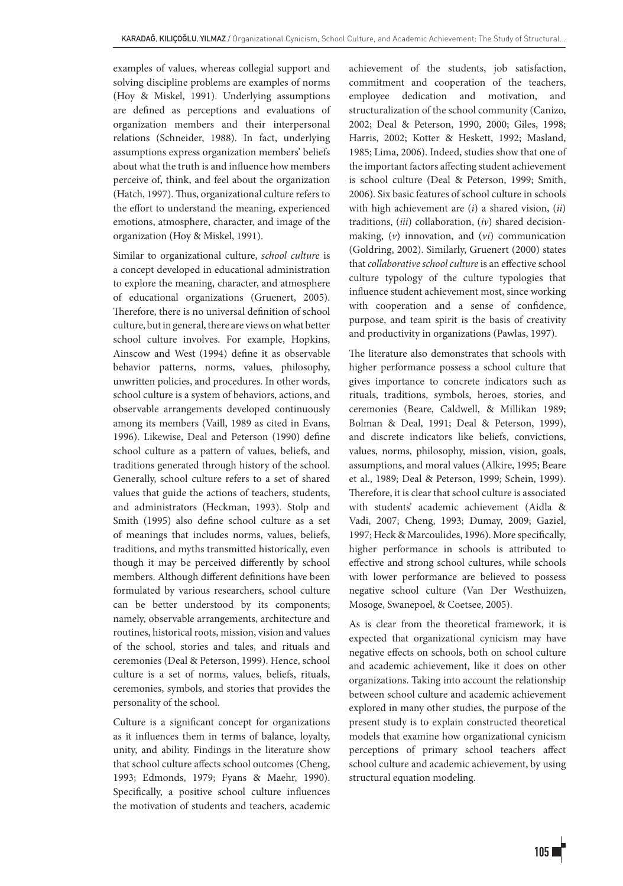examples of values, whereas collegial support and solving discipline problems are examples of norms (Hoy & Miskel, 1991). Underlying assumptions are defined as perceptions and evaluations of organization members and their interpersonal relations (Schneider, 1988). In fact, underlying assumptions express organization members' beliefs about what the truth is and influence how members perceive of, think, and feel about the organization (Hatch, 1997). Thus, organizational culture refers to the effort to understand the meaning, experienced emotions, atmosphere, character, and image of the organization (Hoy & Miskel, 1991).

Similar to organizational culture, *school culture* is a concept developed in educational administration to explore the meaning, character, and atmosphere of educational organizations (Gruenert, 2005). Therefore, there is no universal definition of school culture, but in general, there are views on what better school culture involves. For example, Hopkins, Ainscow and West (1994) define it as observable behavior patterns, norms, values, philosophy, unwritten policies, and procedures. In other words, school culture is a system of behaviors, actions, and observable arrangements developed continuously among its members (Vaill, 1989 as cited in Evans, 1996). Likewise, Deal and Peterson (1990) define school culture as a pattern of values, beliefs, and traditions generated through history of the school. Generally, school culture refers to a set of shared values that guide the actions of teachers, students, and administrators (Heckman, 1993). Stolp and Smith (1995) also define school culture as a set of meanings that includes norms, values, beliefs, traditions, and myths transmitted historically, even though it may be perceived differently by school members. Although different definitions have been formulated by various researchers, school culture can be better understood by its components; namely, observable arrangements, architecture and routines, historical roots, mission, vision and values of the school, stories and tales, and rituals and ceremonies (Deal & Peterson, 1999). Hence, school culture is a set of norms, values, beliefs, rituals, ceremonies, symbols, and stories that provides the personality of the school.

Culture is a significant concept for organizations as it influences them in terms of balance, loyalty, unity, and ability. Findings in the literature show that school culture affects school outcomes (Cheng, 1993; Edmonds, 1979; Fyans & Maehr, 1990). Specifically, a positive school culture influences the motivation of students and teachers, academic achievement of the students, job satisfaction, commitment and cooperation of the teachers, employee dedication and motivation, and structuralization of the school community (Canizo, 2002; Deal & Peterson, 1990, 2000; Giles, 1998; Harris, 2002; Kotter & Heskett, 1992; Masland, 1985; Lima, 2006). Indeed, studies show that one of the important factors affecting student achievement is school culture (Deal & Peterson, 1999; Smith, 2006). Six basic features of school culture in schools with high achievement are (*i*) a shared vision, (*ii*) traditions, (*iii*) collaboration, (*iv*) shared decisionmaking, (*v*) innovation, and (*vi*) communication (Goldring, 2002). Similarly, Gruenert (2000) states that *collaborative school culture* is an effective school culture typology of the culture typologies that influence student achievement most, since working with cooperation and a sense of confidence, purpose, and team spirit is the basis of creativity and productivity in organizations (Pawlas, 1997).

The literature also demonstrates that schools with higher performance possess a school culture that gives importance to concrete indicators such as rituals, traditions, symbols, heroes, stories, and ceremonies (Beare, Caldwell, & Millikan 1989; Bolman & Deal, 1991; Deal & Peterson, 1999), and discrete indicators like beliefs, convictions, values, norms, philosophy, mission, vision, goals, assumptions, and moral values (Alkire, 1995; Beare et al., 1989; Deal & Peterson, 1999; Schein, 1999). Therefore, it is clear that school culture is associated with students' academic achievement (Aidla & Vadi, 2007; Cheng, 1993; Dumay, 2009; Gaziel, 1997; Heck & Marcoulides, 1996). More specifically, higher performance in schools is attributed to effective and strong school cultures, while schools with lower performance are believed to possess negative school culture (Van Der Westhuizen, Mosoge, Swanepoel, & Coetsee, 2005).

As is clear from the theoretical framework, it is expected that organizational cynicism may have negative effects on schools, both on school culture and academic achievement, like it does on other organizations. Taking into account the relationship between school culture and academic achievement explored in many other studies, the purpose of the present study is to explain constructed theoretical models that examine how organizational cynicism perceptions of primary school teachers affect school culture and academic achievement, by using structural equation modeling.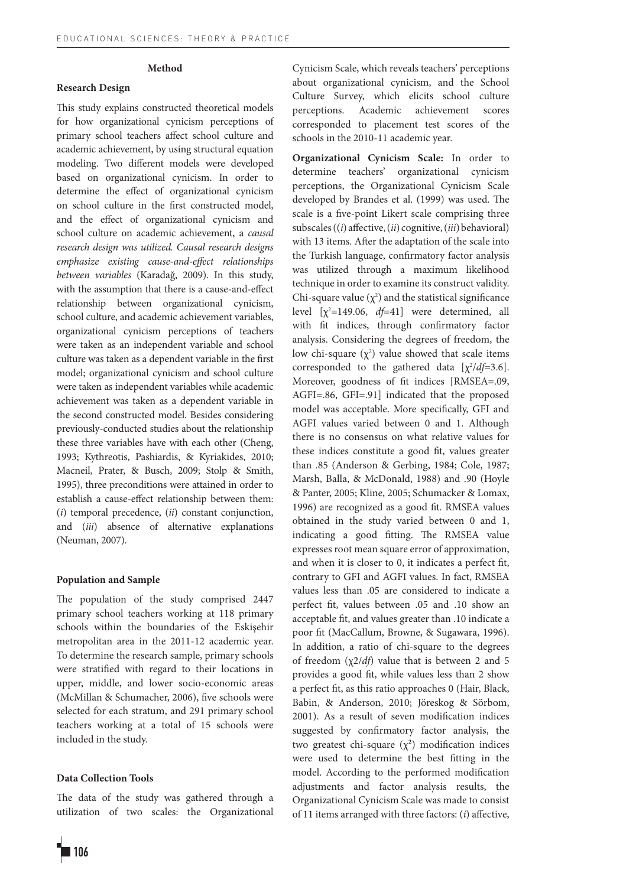## **Method**

## **Research Design**

This study explains constructed theoretical models for how organizational cynicism perceptions of primary school teachers affect school culture and academic achievement, by using structural equation modeling. Two different models were developed based on organizational cynicism. In order to determine the effect of organizational cynicism on school culture in the first constructed model, and the effect of organizational cynicism and school culture on academic achievement, a *causal research design was utilized. Causal research designs emphasize existing cause-and-effect relationships between variables* (Karadağ, 2009). In this study, with the assumption that there is a cause-and-effect relationship between organizational cynicism, school culture, and academic achievement variables, organizational cynicism perceptions of teachers were taken as an independent variable and school culture was taken as a dependent variable in the first model; organizational cynicism and school culture were taken as independent variables while academic achievement was taken as a dependent variable in the second constructed model. Besides considering previously-conducted studies about the relationship these three variables have with each other (Cheng, 1993; Kythreotis, Pashiardis, & Kyriakides, 2010; Macneil, Prater, & Busch, 2009; Stolp & Smith, 1995), three preconditions were attained in order to establish a cause-effect relationship between them: (*i*) temporal precedence, (*ii*) constant conjunction, and (*iii*) absence of alternative explanations (Neuman, 2007).

## **Population and Sample**

The population of the study comprised 2447 primary school teachers working at 118 primary schools within the boundaries of the Eskişehir metropolitan area in the 2011-12 academic year. To determine the research sample, primary schools were stratified with regard to their locations in upper, middle, and lower socio-economic areas (McMillan & Schumacher, 2006), five schools were selected for each stratum, and 291 primary school teachers working at a total of 15 schools were included in the study.

# **Data Collection Tools**

The data of the study was gathered through a utilization of two scales: the Organizational Cynicism Scale, which reveals teachers' perceptions about organizational cynicism, and the School Culture Survey, which elicits school culture perceptions. Academic achievement scores corresponded to placement test scores of the schools in the 2010-11 academic year.

**Organizational Cynicism Scale:** In order to determine teachers' organizational cynicism perceptions, the Organizational Cynicism Scale developed by Brandes et al. (1999) was used. The scale is a five-point Likert scale comprising three subscales ((*i*) affective, (*ii*) cognitive, (*iii*) behavioral) with 13 items. After the adaptation of the scale into the Turkish language, confirmatory factor analysis was utilized through a maximum likelihood technique in order to examine its construct validity. Chi-square value  $(\chi^2)$  and the statistical significance level [χ<sup>2</sup>=149.06, *df*=41] were determined, all with fit indices, through confirmatory factor analysis. Considering the degrees of freedom, the low chi-square  $(\chi^2)$  value showed that scale items corresponded to the gathered data  $[\chi^2/df=3.6]$ . Moreover, goodness of fit indices [RMSEA=.09, AGFI=.86, GFI=.91] indicated that the proposed model was acceptable. More specifically, GFI and AGFI values varied between 0 and 1. Although there is no consensus on what relative values for these indices constitute a good fit, values greater than .85 (Anderson & Gerbing, 1984; Cole, 1987; Marsh, Balla, & McDonald, 1988) and .90 (Hoyle & Panter, 2005; Kline, 2005; Schumacker & Lomax, 1996) are recognized as a good fit. RMSEA values obtained in the study varied between 0 and 1, indicating a good fitting. The RMSEA value expresses root mean square error of approximation, and when it is closer to 0, it indicates a perfect fit, contrary to GFI and AGFI values. In fact, RMSEA values less than .05 are considered to indicate a perfect fit, values between .05 and .10 show an acceptable fit, and values greater than .10 indicate a poor fit (MacCallum, Browne, & Sugawara, 1996). In addition, a ratio of chi-square to the degrees of freedom (χ2/*df*) value that is between 2 and 5 provides a good fit, while values less than 2 show a perfect fit, as this ratio approaches 0 (Hair, Black, Babin, & Anderson, 2010; Jöreskog & Sörbom, 2001). As a result of seven modification indices suggested by confirmatory factor analysis, the two greatest chi-square  $(\chi^2)$  modification indices were used to determine the best fitting in the model. According to the performed modification adjustments and factor analysis results, the Organizational Cynicism Scale was made to consist of 11 items arranged with three factors: (*i*) affective,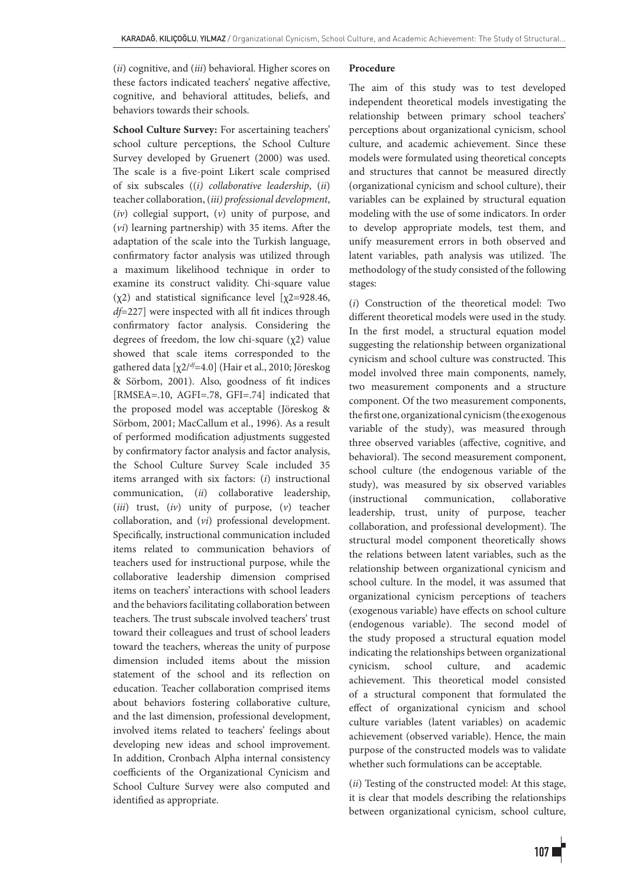(*ii*) cognitive, and (*iii*) behavioral. Higher scores on these factors indicated teachers' negative affective, cognitive, and behavioral attitudes, beliefs, and behaviors towards their schools.

**School Culture Survey:** For ascertaining teachers' school culture perceptions, the School Culture Survey developed by Gruenert (2000) was used. The scale is a five-point Likert scale comprised of six subscales ((*i) collaborative leadership*, (*ii*) teacher collaboration, (*iii) professional development*, (*iv*) collegial support, (*v*) unity of purpose, and (*vi*) learning partnership) with 35 items. After the adaptation of the scale into the Turkish language, confirmatory factor analysis was utilized through a maximum likelihood technique in order to examine its construct validity. Chi-square value  $(\chi^2)$  and statistical significance level  $[\chi^2=928.46,$ *df*=227] were inspected with all fit indices through confirmatory factor analysis. Considering the degrees of freedom, the low chi-square (χ2) value showed that scale items corresponded to the gathered data [χ2/*df*=4.0] (Hair et al., 2010; Jöreskog & Sörbom, 2001). Also, goodness of fit indices [RMSEA=.10, AGFI=.78, GFI=.74] indicated that the proposed model was acceptable (Jöreskog & Sörbom, 2001; MacCallum et al., 1996). As a result of performed modification adjustments suggested by confirmatory factor analysis and factor analysis, the School Culture Survey Scale included 35 items arranged with six factors: (*i*) instructional communication, (*ii*) collaborative leadership, (*iii*) trust, (*iv*) unity of purpose, (*v*) teacher collaboration, and (*vi*) professional development. Specifically, instructional communication included items related to communication behaviors of teachers used for instructional purpose, while the collaborative leadership dimension comprised items on teachers' interactions with school leaders and the behaviors facilitating collaboration between teachers. The trust subscale involved teachers' trust toward their colleagues and trust of school leaders toward the teachers, whereas the unity of purpose dimension included items about the mission statement of the school and its reflection on education. Teacher collaboration comprised items about behaviors fostering collaborative culture, and the last dimension, professional development, involved items related to teachers' feelings about developing new ideas and school improvement. In addition, Cronbach Alpha internal consistency coefficients of the Organizational Cynicism and School Culture Survey were also computed and identified as appropriate.

#### **Procedure**

The aim of this study was to test developed independent theoretical models investigating the relationship between primary school teachers' perceptions about organizational cynicism, school culture, and academic achievement. Since these models were formulated using theoretical concepts and structures that cannot be measured directly (organizational cynicism and school culture), their variables can be explained by structural equation modeling with the use of some indicators. In order to develop appropriate models, test them, and unify measurement errors in both observed and latent variables, path analysis was utilized. The methodology of the study consisted of the following stages:

(*i*) Construction of the theoretical model: Two different theoretical models were used in the study. In the first model, a structural equation model suggesting the relationship between organizational cynicism and school culture was constructed. This model involved three main components, namely, two measurement components and a structure component. Of the two measurement components, the first one, organizational cynicism (the exogenous variable of the study), was measured through three observed variables (affective, cognitive, and behavioral). The second measurement component, school culture (the endogenous variable of the study), was measured by six observed variables (instructional communication, collaborative leadership, trust, unity of purpose, teacher collaboration, and professional development). The structural model component theoretically shows the relations between latent variables, such as the relationship between organizational cynicism and school culture. In the model, it was assumed that organizational cynicism perceptions of teachers (exogenous variable) have effects on school culture (endogenous variable). The second model of the study proposed a structural equation model indicating the relationships between organizational cynicism, school culture, and academic achievement. This theoretical model consisted of a structural component that formulated the effect of organizational cynicism and school culture variables (latent variables) on academic achievement (observed variable). Hence, the main purpose of the constructed models was to validate whether such formulations can be acceptable.

(*ii*) Testing of the constructed model: At this stage, it is clear that models describing the relationships between organizational cynicism, school culture,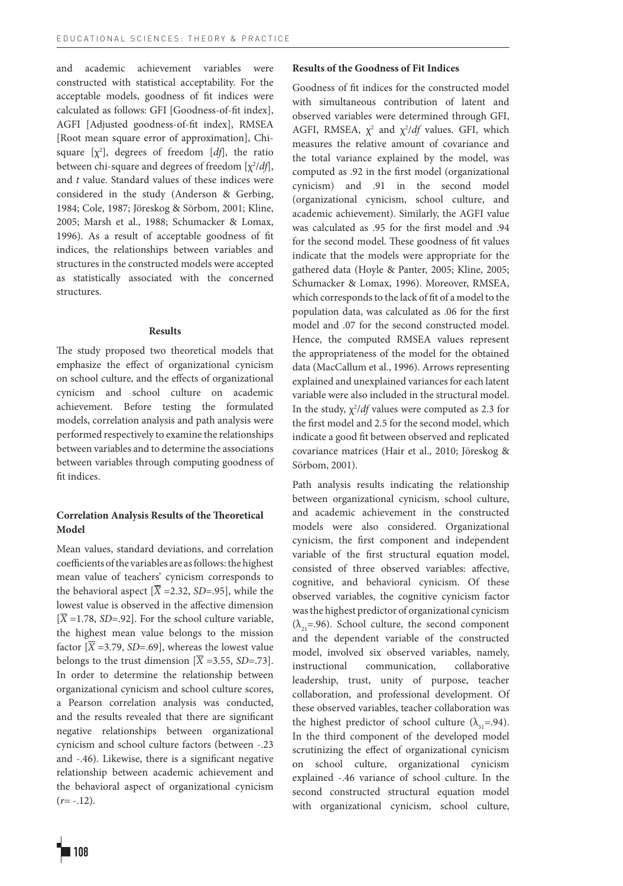and academic achievement variables were constructed with statistical acceptability. For the acceptable models, goodness of fit indices were calculated as follows: GFI [Goodness-of-fit index], AGFI [Adjusted goodness-of-fit index], RMSEA [Root mean square error of approximation], Chisquare  $[\chi^2]$ , degrees of freedom  $[df]$ , the ratio between chi-square and degrees of freedom [χ<sup>2</sup>/*df*], and *t* value. Standard values of these indices were considered in the study (Anderson & Gerbing, 1984; Cole, 1987; Jöreskog & Sörbom, 2001; Kline, 2005; Marsh et al., 1988; Schumacker & Lomax, 1996). As a result of acceptable goodness of fit indices, the relationships between variables and structures in the constructed models were accepted as statistically associated with the concerned structures.

#### **Results**

The study proposed two theoretical models that emphasize the effect of organizational cynicism on school culture, and the effects of organizational cynicism and school culture on academic achievement. Before testing the formulated models, correlation analysis and path analysis were performed respectively to examine the relationships between variables and to determine the associations between variables through computing goodness of fit indices.

# **Correlation Analysis Results of the Theoretical Model**

Mean values, standard deviations, and correlation coefficients of the variables are as follows: the highest mean value of teachers' cynicism corresponds to the behavioral aspect  $[\overline{X} = 2.32, SD = .95]$ , while the lowest value is observed in the affective dimension  $[\overline{X} = 1.78, SD = .92]$ . For the school culture variable, the highest mean value belongs to the mission factor  $[\overline{X} = 3.79, SD = .69]$ , whereas the lowest value belongs to the trust dimension  $[\overline{X} = 3.55, SD = .73]$ . In order to determine the relationship between organizational cynicism and school culture scores, a Pearson correlation analysis was conducted, and the results revealed that there are significant negative relationships between organizational cynicism and school culture factors (between -.23 and -.46). Likewise, there is a significant negative relationship between academic achievement and the behavioral aspect of organizational cynicism  $(r = -.12)$ .

# **Results of the Goodness of Fit Indices**

Goodness of fit indices for the constructed model with simultaneous contribution of latent and observed variables were determined through GFI, AGFI, RMSEA,  $\chi^2$  and  $\chi^2/df$  values. GFI, which measures the relative amount of covariance and the total variance explained by the model, was computed as .92 in the first model (organizational cynicism) and .91 in the second model (organizational cynicism, school culture, and academic achievement). Similarly, the AGFI value was calculated as .95 for the first model and .94 for the second model. These goodness of fit values indicate that the models were appropriate for the gathered data (Hoyle & Panter, 2005; Kline, 2005; Schumacker & Lomax, 1996). Moreover, RMSEA, which corresponds to the lack of fit of a model to the population data, was calculated as .06 for the first model and .07 for the second constructed model. Hence, the computed RMSEA values represent the appropriateness of the model for the obtained data (MacCallum et al., 1996). Arrows representing explained and unexplained variances for each latent variable were also included in the structural model. In the study,  $\chi^2$ /*df* values were computed as 2.3 for the first model and 2.5 for the second model, which indicate a good fit between observed and replicated covariance matrices (Hair et al., 2010; Jöreskog & Sörbom, 2001).

Path analysis results indicating the relationship between organizational cynicism, school culture, and academic achievement in the constructed models were also considered. Organizational cynicism, the first component and independent variable of the first structural equation model, consisted of three observed variables: affective, cognitive, and behavioral cynicism. Of these observed variables, the cognitive cynicism factor was the highest predictor of organizational cynicism  $(\lambda_{21}=0.96)$ . School culture, the second component and the dependent variable of the constructed model, involved six observed variables, namely, instructional communication, collaborative leadership, trust, unity of purpose, teacher collaboration, and professional development. Of these observed variables, teacher collaboration was the highest predictor of school culture ( $\lambda_{5} = .94$ ). In the third component of the developed model scrutinizing the effect of organizational cynicism on school culture, organizational cynicism explained -.46 variance of school culture. In the second constructed structural equation model with organizational cynicism, school culture,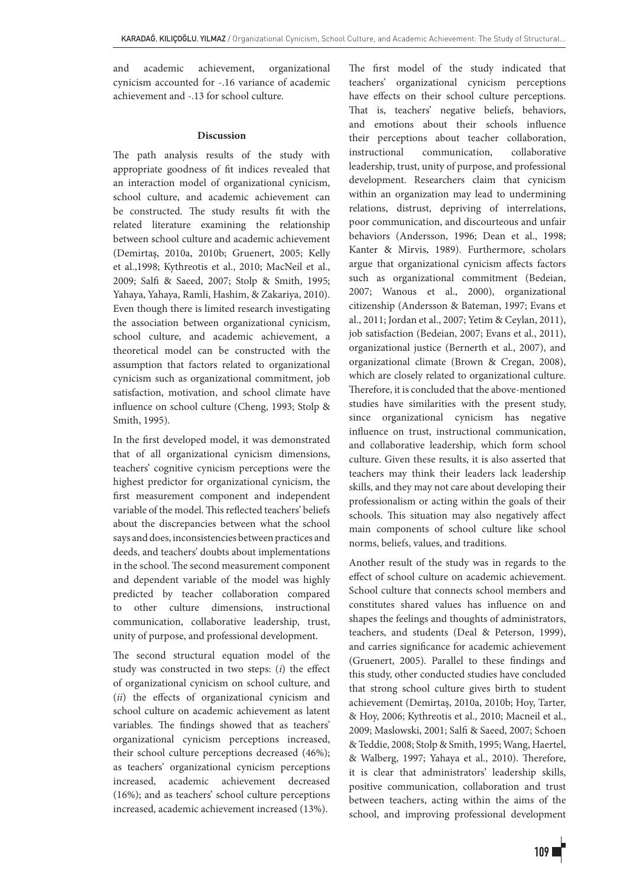and academic achievement, organizational cynicism accounted for -.16 variance of academic achievement and -.13 for school culture.

## **Discussion**

The path analysis results of the study with appropriate goodness of fit indices revealed that an interaction model of organizational cynicism, school culture, and academic achievement can be constructed. The study results fit with the related literature examining the relationship between school culture and academic achievement (Demirtaş, 2010a, 2010b; Gruenert, 2005; Kelly et al.,1998; Kythreotis et al., 2010; MacNeil et al., 2009; Salfi & Saeed, 2007; Stolp & Smith, 1995; Yahaya, Yahaya, Ramli, Hashim, & Zakariya, 2010). Even though there is limited research investigating the association between organizational cynicism, school culture, and academic achievement, a theoretical model can be constructed with the assumption that factors related to organizational cynicism such as organizational commitment, job satisfaction, motivation, and school climate have influence on school culture (Cheng, 1993; Stolp & Smith, 1995).

In the first developed model, it was demonstrated that of all organizational cynicism dimensions, teachers' cognitive cynicism perceptions were the highest predictor for organizational cynicism, the first measurement component and independent variable of the model. This reflected teachers' beliefs about the discrepancies between what the school says and does, inconsistencies between practices and deeds, and teachers' doubts about implementations in the school. The second measurement component and dependent variable of the model was highly predicted by teacher collaboration compared to other culture dimensions, instructional communication, collaborative leadership, trust, unity of purpose, and professional development.

The second structural equation model of the study was constructed in two steps: (*i*) the effect of organizational cynicism on school culture, and (*ii*) the effects of organizational cynicism and school culture on academic achievement as latent variables. The findings showed that as teachers' organizational cynicism perceptions increased, their school culture perceptions decreased (46%); as teachers' organizational cynicism perceptions increased, academic achievement decreased (16%); and as teachers' school culture perceptions increased, academic achievement increased (13%).

The first model of the study indicated that teachers' organizational cynicism perceptions have effects on their school culture perceptions. That is, teachers' negative beliefs, behaviors, and emotions about their schools influence their perceptions about teacher collaboration, instructional communication, collaborative leadership, trust, unity of purpose, and professional development. Researchers claim that cynicism within an organization may lead to undermining relations, distrust, depriving of interrelations, poor communication, and discourteous and unfair behaviors (Andersson, 1996; Dean et al., 1998; Kanter & Mirvis, 1989). Furthermore, scholars argue that organizational cynicism affects factors such as organizational commitment (Bedeian, 2007; Wanous et al., 2000), organizational citizenship (Andersson & Bateman, 1997; Evans et al., 2011; Jordan et al., 2007; Yetim & Ceylan, 2011), job satisfaction (Bedeian, 2007; Evans et al., 2011), organizational justice (Bernerth et al., 2007), and organizational climate (Brown & Cregan, 2008), which are closely related to organizational culture. Therefore, it is concluded that the above-mentioned studies have similarities with the present study, since organizational cynicism has negative influence on trust, instructional communication, and collaborative leadership, which form school culture. Given these results, it is also asserted that teachers may think their leaders lack leadership skills, and they may not care about developing their professionalism or acting within the goals of their schools. This situation may also negatively affect main components of school culture like school norms, beliefs, values, and traditions.

Another result of the study was in regards to the effect of school culture on academic achievement. School culture that connects school members and constitutes shared values has influence on and shapes the feelings and thoughts of administrators, teachers, and students (Deal & Peterson, 1999), and carries significance for academic achievement (Gruenert, 2005). Parallel to these findings and this study, other conducted studies have concluded that strong school culture gives birth to student achievement (Demirtaş, 2010a, 2010b; Hoy, Tarter, & Hoy, 2006; Kythreotis et al., 2010; Macneil et al., 2009; Maslowski, 2001; Salfi & Saeed, 2007; Schoen & Teddie, 2008; Stolp & Smith, 1995; Wang, Haertel, & Walberg, 1997; Yahaya et al., 2010). Therefore, it is clear that administrators' leadership skills, positive communication, collaboration and trust between teachers, acting within the aims of the school, and improving professional development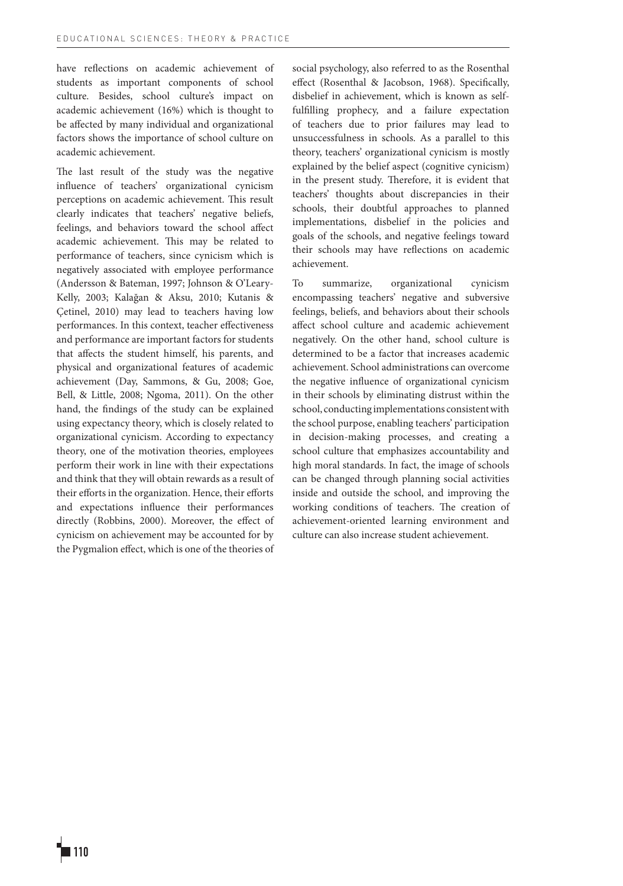have reflections on academic achievement of students as important components of school culture. Besides, school culture's impact on academic achievement (16%) which is thought to be affected by many individual and organizational factors shows the importance of school culture on academic achievement.

The last result of the study was the negative influence of teachers' organizational cynicism perceptions on academic achievement. This result clearly indicates that teachers' negative beliefs, feelings, and behaviors toward the school affect academic achievement. This may be related to performance of teachers, since cynicism which is negatively associated with employee performance (Andersson & Bateman, 1997; Johnson & O'Leary-Kelly, 2003; Kalağan & Aksu, 2010; Kutanis & Çetinel, 2010) may lead to teachers having low performances. In this context, teacher effectiveness and performance are important factors for students that affects the student himself, his parents, and physical and organizational features of academic achievement (Day, Sammons, & Gu, 2008; Goe, Bell, & Little, 2008; Ngoma, 2011). On the other hand, the findings of the study can be explained using expectancy theory, which is closely related to organizational cynicism. According to expectancy theory, one of the motivation theories, employees perform their work in line with their expectations and think that they will obtain rewards as a result of their efforts in the organization. Hence, their efforts and expectations influence their performances directly (Robbins, 2000). Moreover, the effect of cynicism on achievement may be accounted for by the Pygmalion effect, which is one of the theories of

social psychology, also referred to as the Rosenthal effect (Rosenthal & Jacobson, 1968). Specifically, disbelief in achievement, which is known as selffulfilling prophecy, and a failure expectation of teachers due to prior failures may lead to unsuccessfulness in schools. As a parallel to this theory, teachers' organizational cynicism is mostly explained by the belief aspect (cognitive cynicism) in the present study. Therefore, it is evident that teachers' thoughts about discrepancies in their schools, their doubtful approaches to planned implementations, disbelief in the policies and goals of the schools, and negative feelings toward their schools may have reflections on academic achievement.

To summarize, organizational cynicism encompassing teachers' negative and subversive feelings, beliefs, and behaviors about their schools affect school culture and academic achievement negatively. On the other hand, school culture is determined to be a factor that increases academic achievement. School administrations can overcome the negative influence of organizational cynicism in their schools by eliminating distrust within the school, conducting implementations consistent with the school purpose, enabling teachers' participation in decision-making processes, and creating a school culture that emphasizes accountability and high moral standards. In fact, the image of schools can be changed through planning social activities inside and outside the school, and improving the working conditions of teachers. The creation of achievement-oriented learning environment and culture can also increase student achievement.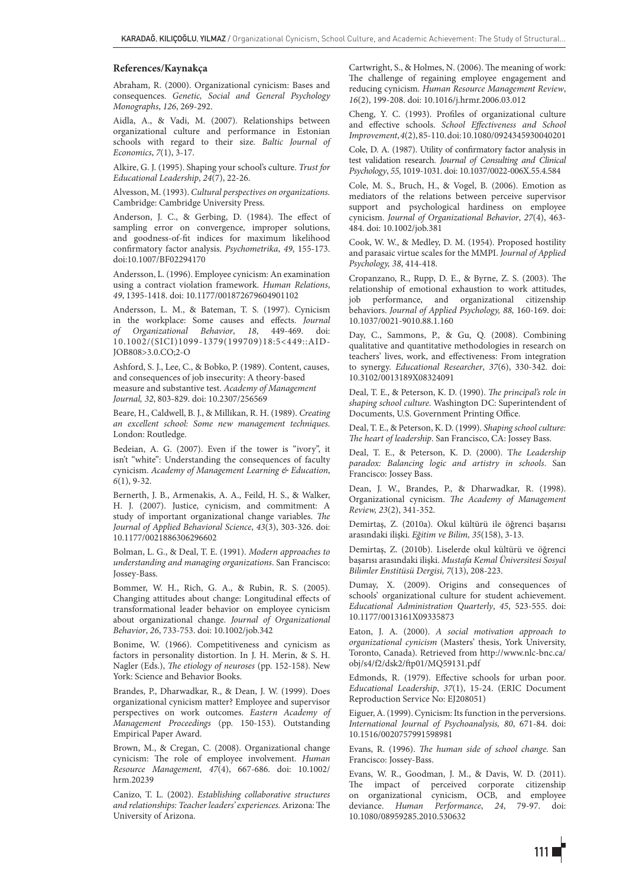#### **References/Kaynakça**

Abraham, R. (2000). Organizational cynicism: Bases and consequences. *Genetic, Social and General Psychology Monographs*, *126*, 269-292.

Aidla, A., & Vadi, M. (2007). Relationships between organizational culture and performance in Estonian schools with regard to their size. *Baltic Journal of Economics*, *7*(1), 3-17.

Alkire, G. J. (1995). Shaping your school's culture. *Trust for Educational Leadership*, *24*(7), 22-26.

Alvesson, M. (1993). *Cultural perspectives on organizations.*  Cambridge: Cambridge University Press.

Anderson, J. C., & Gerbing, D. (1984). The effect of sampling error on convergence, improper solutions, and goodness-of-fit indices for maximum likelihood confirmatory factor analysis. *Psychometrika*, *49*, 155-173. doi:10.1007/BF02294170

Andersson, L. (1996). Employee cynicism: An examination using a contract violation framework. *Human Relations*, *49*, 1395-1418. doi: 10.1177/001872679604901102

Andersson, L. M., & Bateman, T. S. (1997). Cynicism in the workplace: Some causes and effects. *Journal of Organizational Behavior*, *18*, 449-469. doi: 10.1002/(SICI)1099-1379(199709)18:5<449::AID-JOB808>3.0.CO;2-O

Ashford, S. J., Lee, C., & Bobko, P. (1989). Content, causes, and consequences of job insecurity: A theory-based measure and substantive test. *Academy of Management Journal, 32*, 803-829. doi: 10.2307/256569

Beare, H., Caldwell, B. J., & Millikan, R. H. (1989). *Creating an excellent school: Some new management techniques*. London: Routledge.

Bedeian, A. G. (2007). Even if the tower is "ivory", it isn't "white": Understanding the consequences of faculty cynicism. *Academy of Management Learning & Education*, *6*(1), 9-32.

Bernerth, J. B., Armenakis, A. A., Feild, H. S., & Walker, H. J. (2007). Justice, cynicism, and commitment: A study of important organizational change variables. *The Journal of Applied Behavioral Science*, *43*(3), 303-326. doi: 10.1177/0021886306296602

Bolman, L. G., & Deal, T. E. (1991). *Modern approaches to understanding and managing organizations*. San Francisco: Jossey-Bass.

Bommer, W. H., Rich, G. A., & Rubin, R. S. (2005). Changing attitudes about change: Longitudinal effects of transformational leader behavior on employee cynicism about organizational change. *Journal of Organizational Behavior*, *26*, 733-753. doi: 10.1002/job.342

Bonime, W. (1966). Competitiveness and cynicism as factors in personality distortion. In J. H. Merin, & S. H. Nagler (Eds.), *The etiology of neuroses* (pp. 152-158). New York: Science and Behavior Books.

Brandes, P., Dharwadkar, R., & Dean, J. W. (1999). Does organizational cynicism matter? Employee and supervisor perspectives on work outcomes. *Eastern Academy of Management Proceedings* (pp. 150-153). Outstanding Empirical Paper Award.

Brown, M., & Cregan, C. (2008). Organizational change cynicism: The role of employee involvement. *Human Resource Management, 47*(4), 667-686. doi: 10.1002/ hrm.20239

Canizo, T. L. (2002). *Establishing collaborative structures and relationships: Teacher leaders' experiences.* Arizona: The University of Arizona.

Cartwright, S., & Holmes, N. (2006). The meaning of work: The challenge of regaining employee engagement and reducing cynicism*. Human Resource Management Review*, *16*(2), 199-208. doi: 10.1016/j.hrmr.2006.03.012

Cheng, Y. C. (1993). Profiles of organizational culture and effective schools. *School Effectiveness and School Improvement*, *4*(2), 85-110. doi: 10.1080/0924345930040201

Cole, D. A. (1987). Utility of confirmatory factor analysis in test validation research. *Journal of Consulting and Clinical Psychology*, *55*, 1019-1031. doi: 10.1037/0022-006X.55.4.584

Cole, M. S., Bruch, H., & Vogel, B. (2006). Emotion as mediators of the relations between perceive supervisor support and psychological hardiness on employee cynicism. *Journal of Organizational Behavior*, *27*(4), 463- 484. doi: 10.1002/job.381

Cook, W. W., & Medley, D. M. (1954). Proposed hostility and parasaic virtue scales for the MMPI. *Journal of Applied Psychology, 38*, 414-418.

Cropanzano, R., Rupp, D. E., & Byrne, Z. S. (2003). The relationship of emotional exhaustion to work attitudes, job performance, and organizational citizenship behaviors. *Journal of Applied Psychology, 88,* 160-169. doi: 10.1037/0021-9010.88.1.160

Day, C., Sammons, P., & Gu, Q. (2008). Combining qualitative and quantitative methodologies in research on teachers' lives, work, and effectiveness: From integration to synergy. *Educational Researcher*, *37*(6), 330-342. doi: 10.3102/0013189X08324091

Deal, T. E., & Peterson, K. D. (1990). *The principal's role in shaping school culture*. Washington DC: Superintendent of Documents, U.S. Government Printing Office.

Deal, T. E., & Peterson, K. D. (1999). *Shaping school culture: The heart of leadership*. San Francisco, CA: Jossey Bass.

Deal, T. E., & Peterson, K. D. (2000). T*he Leadership paradox: Balancing logic and artistry in schools*. San Francisco: Jossey Bass.

Dean, J. W., Brandes, P., & Dharwadkar, R. (1998). Organizational cynicism. *The Academy of Management Review, 23*(2), 341-352.

Demirtaş, Z. (2010a). Okul kültürü ile öğrenci başarısı arasındaki ilişki. *Eğitim ve Bilim, 35*(158), 3-13.

Demirtaş, Z. (2010b). Liselerde okul kültürü ve öğrenci başarısı arasındaki ilişki. *Mustafa Kemal Üniversitesi Sosyal Bilimler Enstitüsü Dergisi, 7*(13), 208-223.

Dumay, X. (2009). Origins and consequences of schools' organizational culture for student achievement. *Educational Administration Quarterly*, *45*, 523-555. doi: 10.1177/0013161X09335873

Eaton, J. A. (2000). *A social motivation approach to organizational cynicism* (Masters' thesis, York University, Toronto, Canada). Retrieved from http://www.nlc-bnc.ca/ obj/s4/f2/dsk2/ftp01/MQ59131.pdf

Edmonds, R. (1979). Effective schools for urban poor. *Educational Leadership*, *37*(1), 15-24. (ERIC Document Reproduction Service No: EJ208051)

Eiguer, A. (1999). Cynicism: Its function in the perversions. *International Journal of Psychoanalysis, 80*, 671-84. doi: 10.1516/0020757991598981

Evans, R. (1996). *The human side of school change*. San Francisco: Jossey-Bass.

Evans, W. R., Goodman, J. M., & Davis, W. D. (2011). The impact of perceived corporate citizenship on organizational cynicism, OCB, and employee deviance. *Human Performance*, *24*, 79-97. doi: 10.1080/08959285.2010.530632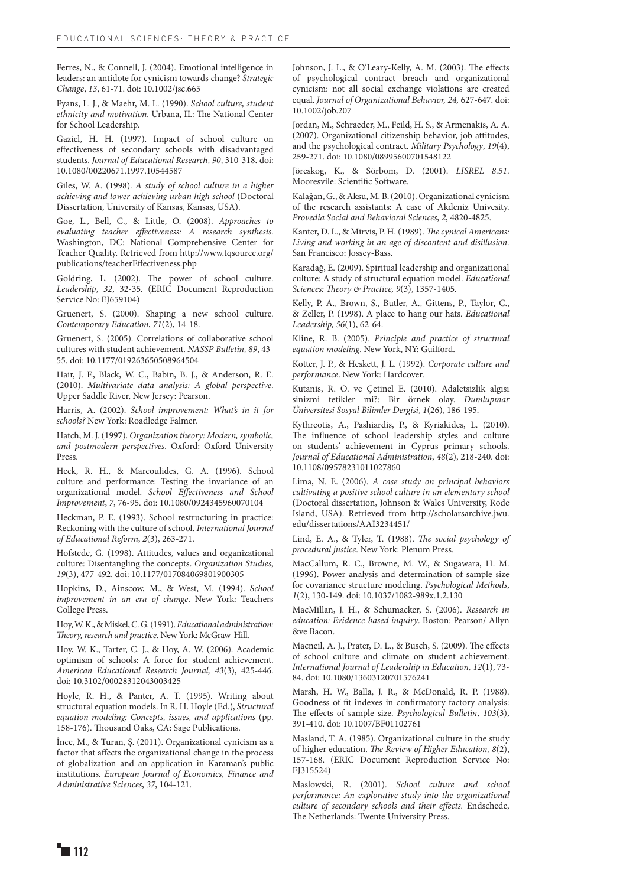Ferres, N., & Connell, J. (2004). Emotional intelligence in leaders: an antidote for cynicism towards change? *Strategic Change*, *13*, 61-71. doi: 10.1002/jsc.665

Fyans, L. J., & Maehr, M. L. (1990). *School culture, student ethnicity and motivation*. Urbana, IL: The National Center for School Leadership.

Gaziel, H. H. (1997). Impact of school culture on effectiveness of secondary schools with disadvantaged students. *Journal of Educational Research*, *90*, 310-318. doi: 10.1080/00220671.1997.10544587

Giles, W. A. (1998). *A study of school culture in a higher achieving and lower achieving urban high school* (Doctoral Dissertation, University of Kansas, Kansas, USA).

Goe, L., Bell, C., & Little, O. (2008). *Approaches to evaluating teacher effectiveness: A research synthesis*. Washington, DC: National Comprehensive Center for Teacher Quality. Retrieved from http://www.tqsource.org/ publications/teacherEffectiveness.php

Goldring, L. (2002). The power of school culture. *Leadership*, *32*, 32-35. (ERIC Document Reproduction Service No: EJ659104)

Gruenert, S. (2000). Shaping a new school culture. *Contemporary Education*, *71*(2), 14-18.

Gruenert, S. (2005). Correlations of collaborative school cultures with student achievement. *NASSP Bulletin, 89*, 43- 55. doi: 10.1177/019263650508964504

Hair, J. F., Black, W. C., Babin, B. J., & Anderson, R. E. (2010). *Multivariate data analysis: A global perspective*. Upper Saddle River, New Jersey: Pearson.

Harris, A. (2002). *School improvement: What's in it for schools?* New York: Roadledge Falmer.

Hatch, M. J. (1997). *Organization theory: Modern, symbolic, and postmodern perspectives*. Oxford: Oxford University Press.

Heck, R. H., & Marcoulides, G. A. (1996). School culture and performance: Testing the invariance of an organizational model. *School Effectiveness and School Improvement*, *7*, 76-95. doi: 10.1080/0924345960070104

Heckman, P. E. (1993). School restructuring in practice: Reckoning with the culture of school. *International Journal of Educational Reform*, *2*(3), 263-271.

Hofstede, G. (1998). Attitudes, values and organizational culture: Disentangling the concepts. *Organization Studies*, *19*(3), 477-492. doi: 10.1177/017084069801900305

Hopkins, D., Ainscow, M., & West, M. (1994). *School improvement in an era of change*. New York: Teachers College Press.

Hoy, W. K., & Miskel, C. G. (1991). *Educational administration: Theory, research and practice*. New York: McGraw-Hill.

Hoy, W. K., Tarter, C. J., & Hoy, A. W. (2006). Academic optimism of schools: A force for student achievement. *American Educational Research Journal, 43*(3), 425-446. doi: 10.3102/00028312043003425

Hoyle, R. H., & Panter, A. T. (1995). Writing about structural equation models. In R. H. Hoyle (Ed.), *Structural equation modeling: Concepts, issues, and applications* (pp. 158-176). Thousand Oaks, CA: Sage Publications.

İnce, M., & Turan, Ş. (2011). Organizational cynicism as a factor that affects the organizational change in the process of globalization and an application in Karaman's public institutions. *European Journal of Economics, Finance and Administrative Sciences*, *37*, 104-121.

Johnson, J. L., & O'Leary-Kelly, A. M. (2003). The effects of psychological contract breach and organizational cynicism: not all social exchange violations are created equal. *Journal of Organizational Behavior, 24,* 627-647. doi: 10.1002/job.207

Jordan, M., Schraeder, M., Feild, H. S., & Armenakis, A. A. (2007). Organizational citizenship behavior, job attitudes, and the psychological contract. *Military Psychology*, *19*(4), 259-271. doi: 10.1080/08995600701548122

Jöreskog, K., & Sörbom, D. (2001). *LISREL 8.51*. Mooresvile: Scientific Software.

Kalağan, G., & Aksu, M. B. (2010). Organizational cynicism of the research assistants: A case of Akdeniz Univesity. *Provedia Social and Behavioral Sciences*, *2*, 4820-4825.

Kanter, D. L., & Mirvis, P. H. (1989). *The cynical Americans: Living and working in an age of discontent and disillusion*. San Francisco: Jossey-Bass.

Karadağ, E. (2009). Spiritual leadership and organizational culture: A study of structural equation model. *Educational Sciences: Theory & Practice, 9*(3), 1357-1405.

Kelly, P. A., Brown, S., Butler, A., Gittens, P., Taylor, C., & Zeller, P. (1998). A place to hang our hats. *Educational Leadership, 56*(1), 62-64.

Kline, R. B. (2005). *Principle and practice of structural equation modeling*. New York, NY: Guilford.

Kotter, J. P., & Heskett, J. L. (1992). *Corporate culture and performance*. New York: Hardcover.

Kutanis, R. O. ve Çetinel E. (2010). Adaletsizlik algısı sinizmi tetikler mi?: Bir örnek olay. *Dumlupınar Üniversitesi Sosyal Bilimler Dergisi*, *1*(26), 186-195.

Kythreotis, A., Pashiardis, P., & Kyriakides, L. (2010). The influence of school leadership styles and culture on students' achievement in Cyprus primary schools. *Journal of Educational Administration*, *48*(2), 218-240. doi: 10.1108/09578231011027860

Lima, N. E. (2006). *A case study on principal behaviors cultivating a positive school culture in an elementary school*  (Doctoral dissertation, Johnson & Wales University, Rode Island, USA). Retrieved from http://scholarsarchive.jwu. edu/dissertations/AAI3234451/

Lind, E. A., & Tyler, T. (1988). *The social psychology of procedural justice*. New York: Plenum Press.

MacCallum, R. C., Browne, M. W., & Sugawara, H. M. (1996). Power analysis and determination of sample size for covariance structure modeling. *Psychological Methods*, *1*(2), 130-149. doi: 10.1037/1082-989x.1.2.130

MacMillan, J. H., & Schumacker, S. (2006). *Research in education: Evidence-based inquiry*. Boston: Pearson/ Allyn &ve Bacon.

Macneil, A. J., Prater, D. L., & Busch, S. (2009). The effects of school culture and climate on student achievement. *International Journal of Leadership in Education, 12*(1), 73- 84. doi: 10.1080/13603120701576241

Marsh, H. W., Balla, J. R., & McDonald, R. P. (1988). Goodness-of-fit indexes in confirmatory factory analysis: The effects of sample size. *Psychological Bulletin*, *103*(3), 391-410. doi: 10.1007/BF01102761

Masland, T. A. (1985). Organizational culture in the study of higher education. *The Review of Higher Education, 8*(2), 157-168. (ERIC Document Reproduction Service No: EI315524)

Maslowski, R. (2001). *School culture and school performance: An explorative study into the organizational culture of secondary schools and their effects.* Endschede, The Netherlands: Twente University Press.